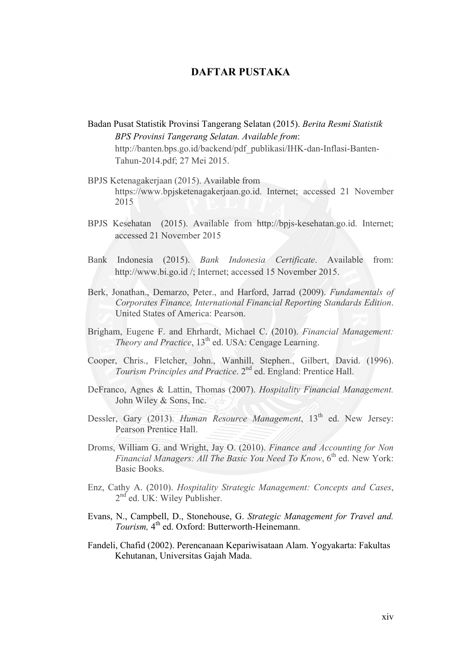## **DAFTAR PUSTAKA**

- Badan Pusat Statistik Provinsi Tangerang Selatan (2015). *Berita Resmi Statistik BPS Provinsi Tangerang Selatan. Available from*: http://banten.bps.go.id/backend/pdf\_publikasi/IHK-dan-Inflasi-Banten-Tahun-2014.pdf; 27 Mei 2015.
- BPJS Ketenagakerjaan (2015). Available from https://www.bpjsketenagakerjaan.go.id. Internet; accessed 21 November 2015
- BPJS Kesehatan (2015). Available from http://bpjs-kesehatan.go.id. Internet; accessed 21 November 2015
- Bank Indonesia (2015). *Bank Indonesia Certificate*. Available from: http://www.bi.go.id /; Internet; accessed 15 November 2015.
- Berk, Jonathan., Demarzo, Peter., and Harford, Jarrad (2009). *Fundamentals of Corporates Finance, International Financial Reporting Standards Edition*. United States of America: Pearson.
- Brigham, Eugene F. and Ehrhardt, Michael C. (2010). *Financial Management: Theory and Practice*, 13<sup>th</sup> ed. USA: Cengage Learning.
- Cooper, Chris., Fletcher, John., Wanhill, Stephen., Gilbert, David. (1996). *Tourism Principles and Practice*. 2nd ed. England: Prentice Hall.
- DeFranco, Agnes & Lattin, Thomas (2007). *Hospitality Financial Management.* John Wiley & Sons, Inc.
- Dessler, Gary (2013). *Human Resource Management*, 13<sup>th</sup> ed. New Jersey: Pearson Prentice Hall.
- Droms, William G. and Wright, Jay O. (2010). *Finance and Accounting for Non Financial Managers: All The Basic You Need To Know*, 6<sup>th</sup> ed. New York: Basic Books.
- Enz, Cathy A. (2010). *Hospitality Strategic Management: Concepts and Cases*, 2nd ed. UK: Wiley Publisher.
- Evans, N., Campbell, D., Stonehouse, G. *Strategic Management for Travel and. Tourism,* 4<sup>th</sup> ed. Oxford: Butterworth-Heinemann.
- Fandeli, Chafid (2002). Perencanaan Kepariwisataan Alam. Yogyakarta: Fakultas Kehutanan, Universitas Gajah Mada.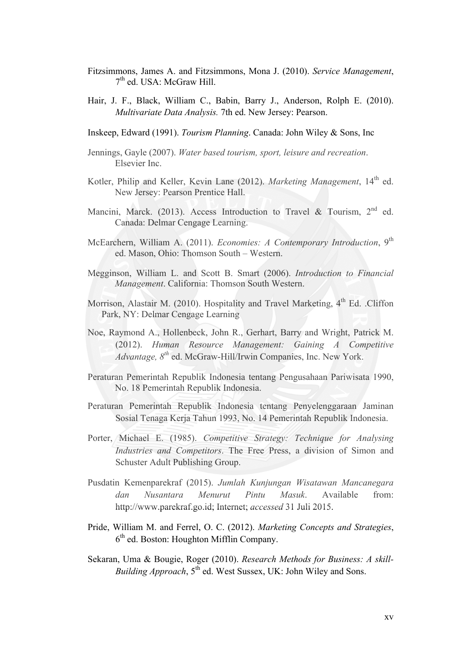- Fitzsimmons, James A. and Fitzsimmons, Mona J. (2010). *Service Management*, 7th ed. USA: McGraw Hill.
- Hair, J. F., Black, William C., Babin, Barry J., Anderson, Rolph E. (2010). *Multivariate Data Analysis.* 7th ed. New Jersey: Pearson.
- Inskeep, Edward (1991). *Tourism Planning*. Canada: John Wiley & Sons, Inc
- Jennings, Gayle (2007). *Water based tourism, sport, leisure and recreation*. Elsevier Inc.
- Kotler, Philip and Keller, Kevin Lane (2012). *Marketing Management*, 14<sup>th</sup> ed. New Jersey: Pearson Prentice Hall.
- Mancini, Marck. (2013). Access Introduction to Travel & Tourism, 2<sup>nd</sup> ed. Canada: Delmar Cengage Learning.
- McEarchern, William A. (2011). *Economies: A Contemporary Introduction*, 9<sup>th</sup> ed. Mason, Ohio: Thomson South – Western.
- Megginson, William L. and Scott B. Smart (2006). *Introduction to Financial Management*. California: Thomson South Western.
- Morrison, Alastair M. (2010). Hospitality and Travel Marketing,  $4<sup>th</sup>$  Ed. .Cliffon Park, NY: Delmar Cengage Learning
- Noe, Raymond A., Hollenbeck, John R., Gerhart, Barry and Wright, Patrick M. (2012). *Human Resource Management: Gaining A Competitive Advantage, 8th* ed. McGraw-Hill/Irwin Companies, Inc. New York.
- Peraturan Pemerintah Republik Indonesia tentang Pengusahaan Pariwisata 1990, No. 18 Pemerintah Republik Indonesia.
- Peraturan Pemerintah Republik Indonesia tentang Penyelenggaraan Jaminan Sosial Tenaga Kerja Tahun 1993, No. 14 Pemerintah Republik Indonesia.
- Porter, Michael E. (1985). *Competitive Strategy: Technique for Analysing Industries and Competitors*. The Free Press, a division of Simon and Schuster Adult Publishing Group.
- Pusdatin Kemenparekraf (2015). *Jumlah Kunjungan Wisatawan Mancanegara dan Nusantara Menurut Pintu Masuk*. Available from: http://www.parekraf.go.id; Internet; *accessed* 31 Juli 2015.
- Pride, William M. and Ferrel, O. C. (2012). *Marketing Concepts and Strategies*, 6th ed. Boston: Houghton Mifflin Company.
- Sekaran, Uma & Bougie, Roger (2010). *Research Methods for Business: A skill-Building Approach*,  $5^{th}$  ed. West Sussex, UK: John Wiley and Sons.